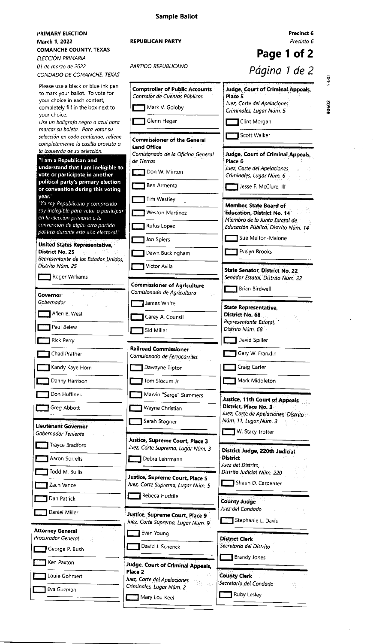| PRIMARY ELECTION<br>March 1, 2022<br><b>COMANCHE COUNTY, TEXAS</b>                                                                                                                                        | <b>REPUBLICAN PARTY</b>                                                                                            | Precinct 6<br>Precinto 6<br>Page 1 of 2                                                                                                                   |
|-----------------------------------------------------------------------------------------------------------------------------------------------------------------------------------------------------------|--------------------------------------------------------------------------------------------------------------------|-----------------------------------------------------------------------------------------------------------------------------------------------------------|
| ELECCIÓN PRIMARIA<br>01 de marzo de 2022<br>CONDADO DE COMANCHE, TEXAS                                                                                                                                    | PARTIDO REPUBLICANO                                                                                                | Página 1 de 2                                                                                                                                             |
| Please use a black or blue ink pen<br>to mark your ballot. To vote for<br>your choice in each contest.<br>completely fill in the box next to<br>your choice.<br>Use un bolígrafo negro o azul para        | <b>Comptroller of Public Accounts</b><br>Contralor de Cuentas Públicas<br>Mark V. Goloby<br>Glenn Hegar            | 5380<br><b>Judge, Court of Criminal Appeals,</b><br>Place 5<br>90602<br>Juez, Corte del Apelaciones<br>Criminales, Lugar Núm. 5<br>Clint Morgan           |
| marcar su boleta. Para votar su<br>selección en cada contienda, rellene<br>completamente la casilla provista a                                                                                            | <b>Commissioner of the General</b><br><b>Land Office</b>                                                           | Scott Walker                                                                                                                                              |
| la izquierda de su selección.<br>"I am a Republican and<br>understand that I am ineligible to<br>vote or participate in another<br>political party's primary election<br>or convention during this voting | Comisionado de la Oficina General<br>de Tierras<br>Don W. Minton<br>Ben Armenta                                    | Judge, Court of Criminal Appeals,<br>Place 6<br>Juez, Corte del Apelaciones<br>Criminales, Lugar Núm. 6<br>Jesse F. McClure, III                          |
| year."<br>"Yo soy Republicano y comprendo<br>soy inelegible para votar o participar<br>en la elección primaria o la<br>convención de algún otro partido<br>político durante este año electoral."          | Tim Westley<br>Weston Martinez<br>Rufus Lopez                                                                      | Member. State Board of<br><b>Education, District No. 14</b><br>Miembro de la Junta Estatal de<br>Educación Pública, Distrito Núm. 14<br>Sue Melton-Malone |
| United States Representative,<br>District No. 25<br>Representante de los Estados Unidos,<br>Distrito Núm. 25                                                                                              | Jon Spiers<br>Dawn Buckingham<br>Victor Avila                                                                      | Evelyn Brooks                                                                                                                                             |
| Roger Williams<br>Governor                                                                                                                                                                                | <b>Commissioner of Agriculture</b><br>Comisionado de Agricultura                                                   | <b>State Senator, District No. 22</b><br>Senador Estatal, Distrito Num, 22<br>Brian Birdwell                                                              |
| Gobernador<br>Allen B. West<br>Paul Belew                                                                                                                                                                 | James White<br>Carey A. Counsil<br>Sid Miller                                                                      | State Representative,<br>District No. 68<br>Representante Estatal,<br>Distrito Núm. 68                                                                    |
| Rick Perry<br>Chad Prather                                                                                                                                                                                | <b>Railroad Commissioner</b><br>Comisionado de Ferrocarriles                                                       | David Spiller<br>Gary W. Franklin                                                                                                                         |
| Kandy Kaye Horn<br>Danny Harrison                                                                                                                                                                         | Dawayne Tipton<br>Tom Slocum Jr                                                                                    | Craig Carter<br>Mark Middleton                                                                                                                            |
| Don Huffines<br>Greg Abbott<br><b>Lieutenant Governor</b>                                                                                                                                                 | Marvin "Sarge" Summers<br>Wayne Christian<br>Sarah Stogner                                                         | <b>Justice, 11th Court of Appeals</b><br>District, Place No. 3<br>Juez, Corte de Apelaciones, Distrito<br>Núm. 11, Lugar Núm. 3                           |
| Gobernador Teniente<br>Trayce Bradford<br>Aaron Sorrells                                                                                                                                                  | Justice, Supreme Court, Place 3<br>Juez, Corte Suprema, Lugar Núm. 3<br>Debra Lehrmann                             | W. Stacy Trotter<br>District Judge, 220th Judicial<br><b>District</b><br>Juez del Distrito,                                                               |
| Todd M. Bullis<br>Zach Vance                                                                                                                                                                              | <b>Justice, Supreme Court, Place 5</b><br>Juez, Corte Suprema, Lugar Núm. 5<br>Rebeca Huddle                       | Distrito Judicial Núm. 220<br>Shaun D. Carpenter                                                                                                          |
| Dan Patrick<br>Daniel Miller                                                                                                                                                                              | Justice, Supreme Court, Place 9<br>Juez, Corte Suprema, Lugar Núm. 9                                               | <b>County Judge</b><br>Juez del Condado<br>Stephanie L. Davis                                                                                             |
| <b>Attorney General</b><br>Procurador General<br>George P. Bush                                                                                                                                           | Evan Young<br>David J. Schenck                                                                                     | <b>District Clerk</b><br>Secretario del Distrito                                                                                                          |
| Ken Paxton<br>Louie Gohmert                                                                                                                                                                               | Judge, Court of Criminal Appeals,<br>Place <sub>2</sub><br>Juez, Corte del Apelaciones<br>Criminales, Lugar Núm. 2 | <b>Brandy Jones</b><br><b>County Clerk</b><br>Secretario del Condado                                                                                      |
| Eva Guzman                                                                                                                                                                                                | Mary Lou Keel                                                                                                      | Ruby Lesley                                                                                                                                               |

### **Sample Ballot**